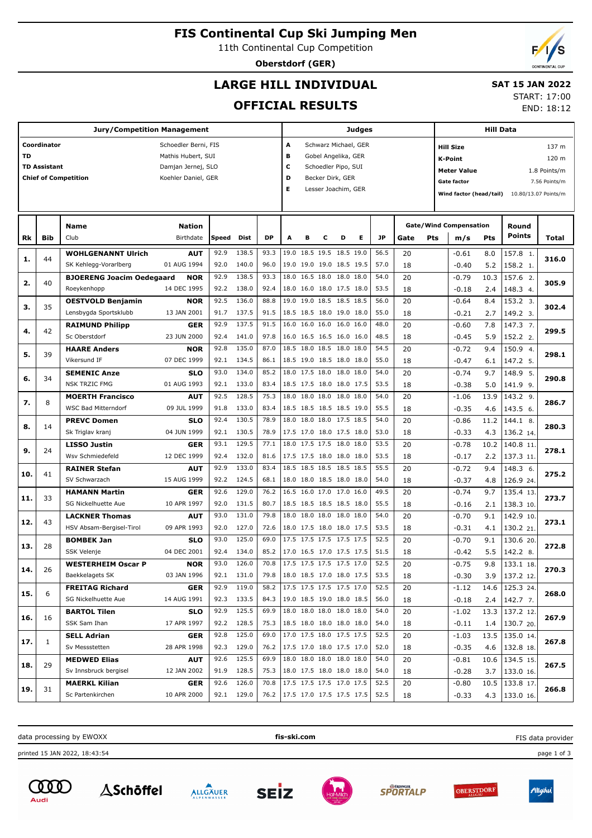## **FIS Continental Cup Ski Jumping Men**

11th Continental Cup Competition

**Oberstdorf (GER)**

# **LARGE HILL INDIVIDUAL**

### **SAT 15 JAN 2022** START: 17:00

**OFFICIAL RESULTS**

| <b>Jury/Competition Management</b> |                     |                                         |                      |              |                |                               |                                      |   | Judges                                               |   |   |              |                               |  |                    | Hill Data  |                                              |              |  |  |
|------------------------------------|---------------------|-----------------------------------------|----------------------|--------------|----------------|-------------------------------|--------------------------------------|---|------------------------------------------------------|---|---|--------------|-------------------------------|--|--------------------|------------|----------------------------------------------|--------------|--|--|
|                                    | Coordinator         |                                         | Schoedler Berni, FIS |              |                |                               | A                                    |   | Schwarz Michael, GER                                 |   |   |              |                               |  | <b>Hill Size</b>   |            |                                              | 137 m        |  |  |
| <b>TD</b>                          |                     |                                         | Mathis Hubert, SUI   |              |                |                               | в                                    |   | Gobel Angelika, GER                                  |   |   |              |                               |  | <b>K-Point</b>     |            |                                              | 120 m        |  |  |
|                                    | <b>TD Assistant</b> |                                         | Damjan Jernej, SLO   |              |                |                               | c                                    |   | Schoedler Pipo, SUI                                  |   |   |              |                               |  | <b>Meter Value</b> |            |                                              | 1.8 Points/m |  |  |
|                                    |                     | <b>Chief of Competition</b>             | Koehler Daniel, GER  |              |                |                               | D                                    |   | Becker Dirk, GER                                     |   |   |              |                               |  | 7.56 Points/m      |            |                                              |              |  |  |
|                                    |                     |                                         |                      |              |                |                               | Е                                    |   | Lesser Joachim, GER                                  |   |   |              |                               |  | <b>Gate factor</b> |            |                                              |              |  |  |
|                                    |                     |                                         |                      |              |                |                               |                                      |   |                                                      |   |   |              |                               |  |                    |            | Wind factor (head/tail) 10.80/13.07 Points/m |              |  |  |
|                                    |                     |                                         |                      |              |                |                               |                                      |   |                                                      |   |   |              |                               |  |                    |            |                                              |              |  |  |
|                                    |                     | <b>Name</b>                             | <b>Nation</b>        |              |                |                               |                                      |   |                                                      |   |   |              | <b>Gate/Wind Compensation</b> |  |                    |            | Round                                        |              |  |  |
| Rk                                 | <b>Bib</b>          | Club                                    | Birthdate            | Speed        | Dist           | DP                            | A                                    | в | с                                                    | D | Е | JP           | Pts<br>Gate                   |  | m/s                | Pts        | Points                                       | Total        |  |  |
| 1.                                 | 44                  | <b>WOHLGENANNT Ulrich</b>               | <b>AUT</b>           | 92.9         | 138.5          | 93.3                          |                                      |   | 19.0 18.5 19.5 18.5 19.0                             |   |   | 56.5         | 20                            |  | $-0.61$            | 8.0        | 157.8 1.                                     | 316.0        |  |  |
|                                    |                     | SK Kehlegg-Vorarlberg                   | 01 AUG 1994          | 92.0         | 140.0          | 96.0                          |                                      |   | 19.0 19.0 19.0 18.5 19.5                             |   |   | 57.0         | 18                            |  | $-0.40$            | 5.2        | 158.2 1.                                     |              |  |  |
| 2.                                 | 40                  | <b>BJOERENG Joacim Oedegaard</b>        | NOR                  | 92.9         | 138.5          | 93.3                          | 18.0                                 |   | 16.5 18.0 18.0 18.0                                  |   |   | 54.0         | 20                            |  | $-0.79$            | 10.3       | 157.6 2.                                     | 305.9        |  |  |
|                                    |                     | Roeykenhopp                             | 14 DEC 1995          | 92.2         | 138.0          | 92.4                          |                                      |   | 18.0 16.0 18.0 17.5 18.0                             |   |   | 53.5         | 18                            |  | $-0.18$            | 2.4        | 148.3 4.                                     |              |  |  |
| з.                                 | 35                  | <b>OESTVOLD Benjamin</b>                | NOR                  | 92.5         | 136.0          | 88.8                          | 19.0                                 |   | 19.0 18.5 18.5 18.5                                  |   |   | 56.0         | 20                            |  | $-0.64$            | 8.4        | 153.2 3.                                     | 302.4        |  |  |
|                                    |                     | Lensbygda Sportsklubb                   | 13 JAN 2001          | 91.7         | 137.5          | 91.5                          |                                      |   | 18.5 18.5 18.0 19.0 18.0                             |   |   | 55.0         | 18                            |  | $-0.21$            | 2.7        | 149.2 3.                                     |              |  |  |
| 4.                                 | 42                  | <b>RAIMUND Philipp</b>                  | GER                  | 92.9         | 137.5          | 91.5                          | 16.0                                 |   | 16.0 16.0 16.0 16.0                                  |   |   | 48.0         | 20                            |  | $-0.60$            | 7.8        | 147.3 7.                                     | 299.5        |  |  |
|                                    |                     | Sc Oberstdorf                           | 23 JUN 2000          | 92.4         | 141.0          | 97.8                          |                                      |   | 16.0 16.5 16.5 16.0 16.0                             |   |   | 48.5         | 18                            |  | $-0.45$            | 5.9        | 152.2 2.                                     |              |  |  |
| 5.                                 | 39                  | <b>HAARE Anders</b>                     | NOR                  | 92.8         | 135.0          | 87.0                          |                                      |   | 18.5 18.0 18.5 18.0 18.0                             |   |   | 54.5         | 20                            |  | $-0.72$            | 9.4        | 150.9 4.                                     | 298.1        |  |  |
|                                    |                     | Vikersund IF                            | 07 DEC 1999          | 92.1         | 134.5          | 86.1                          |                                      |   | 18.5 19.0 18.5 18.0 18.0                             |   |   | 55.0         | 18                            |  | $-0.47$            | 6.1        | 147.2 5.                                     |              |  |  |
| 6.                                 | 34                  | <b>SEMENIC Anze</b>                     | <b>SLO</b>           | 93.0         | 134.0          | 85.2                          | 18.0                                 |   | 17.5 18.0 18.0 18.0                                  |   |   | 54.0         | 20                            |  | $-0.74$            | 9.7        | 148.9 5.                                     | 290.8        |  |  |
|                                    |                     | <b>NSK TRZIC FMG</b>                    | 01 AUG 1993          | 92.1         | 133.0          | 83.4                          |                                      |   | 18.5 17.5 18.0 18.0 17.5                             |   |   | 53.5         | 18                            |  | $-0.38$            | 5.0        | 141.9 9.                                     |              |  |  |
| 7.                                 | 8                   | <b>MOERTH Francisco</b>                 | AUT                  | 92.5         | 128.5          | 75.3                          | 18.0                                 |   | 18.0 18.0 18.0 18.0                                  |   |   | 54.0         | 20                            |  | $-1.06$            | 13.9       | 143.2 9.                                     | 286.7        |  |  |
|                                    |                     | <b>WSC Bad Mitterndorf</b>              | 09 JUL 1999          | 91.8         | 133.0          | 83.4                          |                                      |   | 18.5 18.5 18.5 18.5 19.0                             |   |   | 55.5         | 18                            |  | $-0.35$            | 4.6        | 143.5 6.                                     |              |  |  |
| 8.                                 | 14                  | <b>PREVC Domen</b>                      | <b>SLO</b>           | 92.4         | 130.5          | 78.9                          | 18.0                                 |   | 18.0 18.0 17.5 18.5                                  |   |   | 54.0         | 20                            |  | $-0.86$            | 11.2       | 144.1 8.                                     | 280.3        |  |  |
|                                    |                     | Sk Triglav kranj                        | 04 JUN 1999          | 92.1         | 130.5          | 78.9                          |                                      |   | 17.5 17.0 18.0 17.5 18.0                             |   |   | 53.0         | 18                            |  | $-0.33$            | 4.3        | 136.2 14.                                    |              |  |  |
| 9.                                 | 24                  | <b>LISSO Justin</b><br>Wsv Schmiedefeld | GER<br>12 DEC 1999   | 93.1<br>92.4 | 129.5<br>132.0 | 77.1<br>81.6                  |                                      |   | 18.0 17.5 17.5 18.0 18.0<br>17.5 17.5 18.0 18.0 18.0 |   |   | 53.5<br>53.5 | 20                            |  | $-0.78$            | 10.2       | 140.8 11.                                    | 278.1        |  |  |
|                                    |                     | <b>RAINER Stefan</b>                    | AUT                  | 92.9         | 133.0          | 83.4                          |                                      |   | 18.5 18.5 18.5 18.5 18.5                             |   |   | 55.5         | 18<br>20                      |  | $-0.17$<br>$-0.72$ | 2.2<br>9.4 | 137.3 11.<br>$148.3$ 6.                      |              |  |  |
| 10.                                | 41                  | SV Schwarzach                           | 15 AUG 1999          | 92.2         | 124.5          | 68.1                          |                                      |   | 18.0 18.0 18.5 18.0 18.0                             |   |   | 54.0         | 18                            |  | $-0.37$            | 4.8        | 126.9 24.                                    | 275.2        |  |  |
|                                    |                     | <b>HAMANN Martin</b>                    | GER                  | 92.6         | 129.0          | 76.2                          |                                      |   | 16.5 16.0 17.0 17.0 16.0                             |   |   | 49.5         | 20                            |  | $-0.74$            | 9.7        | 135.4 13.                                    |              |  |  |
| 11.                                | 33                  | SG Nickelhuette Aue                     | 10 APR 1997          | 92.0         | 131.5          | 80.7                          |                                      |   | 18.5 18.5 18.5 18.5 18.0                             |   |   | 55.5         | 18                            |  | $-0.16$            | 2.1        | 138.3 10.                                    | 273.7        |  |  |
|                                    |                     | <b>LACKNER Thomas</b>                   | AUT                  | 93.0         | 131.0          | 79.8                          | 18.0                                 |   | 18.0 18.0 18.0 18.0                                  |   |   | 54.0         | 20                            |  | $-0.70$            | 9.1        | 142.9 10.                                    |              |  |  |
| 12.                                | 43                  | HSV Absam-Bergisel-Tirol                | 09 APR 1993          | 92.0         | 127.0          | 72.6                          |                                      |   | 18.0 17.5 18.0 18.0 17.5                             |   |   | 53.5         | 18                            |  | $-0.31$            | 4.1        | 130.2 21.                                    | 273.1        |  |  |
|                                    |                     | <b>BOMBEK Jan</b>                       | <b>SLO</b>           | 93.0         | 125.0          | 69.0                          |                                      |   | 17.5 17.5 17.5 17.5 17.5                             |   |   | 52.5         | 20                            |  | $-0.70$            | 9.1        | 130.6 20.                                    |              |  |  |
| 13.                                | 28                  | SSK Velenje                             | 04 DEC 2001          | 92.4         | 134.0          | 85.2                          |                                      |   | 17.0 16.5 17.0 17.5 17.5                             |   |   | 51.5         | 18                            |  | $-0.42$            | 5.5        | 142.2 8.                                     | 272.8        |  |  |
|                                    |                     | <b>WESTERHEIM Oscar P</b>               | <b>NOR</b>           | 93.0         | 126.0          | 70.8                          |                                      |   | 17.5 17.5 17.5 17.5 17.0                             |   |   | 52.5         | 20                            |  | $-0.75$            | 9.8        | 133.1 18.                                    |              |  |  |
| 14.                                | 26                  | Baekkelagets SK                         | 03 JAN 1996          |              | 92.1 131.0     | 79.8                          | $ 18.0 \t18.5 \t17.0 \t18.0 \t17.5 $ |   |                                                      |   |   | 53.5         | 18                            |  | $-0.30$            |            | 3.9 137.2 12.                                | 270.3        |  |  |
|                                    |                     | <b>FREITAG Richard</b>                  | <b>GER</b>           | 92.9         | 119.0          | 58.2                          |                                      |   | 17.5 17.5 17.5 17.5 17.0                             |   |   | 52.5         | 20                            |  | $-1.12$            |            | 14.6   125.3 24.                             |              |  |  |
| 15.                                | 6                   | SG Nickelhuette Aue                     | 14 AUG 1991          |              | 92.3 133.5     | 84.3                          | 19.0 18.5 19.0 18.0 18.5             |   |                                                      |   |   | 56.0         | 18                            |  | $-0.18$            |            | $2.4$   142.7 7.                             | 268.0        |  |  |
|                                    |                     | <b>BARTOL Tilen</b>                     | <b>SLO</b>           | 92.9         | 125.5          | 69.9                          |                                      |   | 18.0 18.0 18.0 18.0 18.0                             |   |   | 54.0         | 20                            |  | $-1.02$            |            | 13.3   137.2 12.                             |              |  |  |
| 16.                                | 16                  | SSK Sam Ihan                            | 17 APR 1997          |              | 92.2 128.5     | 75.3                          |                                      |   | 18.5 18.0 18.0 18.0 18.0                             |   |   | 54.0         | 18                            |  | $-0.11$            |            | $1.4$   130.7 20.                            | 267.9        |  |  |
|                                    |                     | <b>SELL Adrian</b>                      | <b>GER</b>           | 92.8         | 125.0          | 69.0                          |                                      |   | 17.0 17.5 18.0 17.5 17.5                             |   |   | 52.5         | 20                            |  | $-1.03$            |            | 13.5   135.0 14.                             |              |  |  |
| 17.                                | $\mathbf{1}$        | Sv Messstetten                          | 28 APR 1998          |              | 92.3 129.0     | 76.2                          |                                      |   | 17.5 17.0 18.0 17.5 17.0                             |   |   | 52.0         | 18                            |  | $-0.35$            |            | 4.6   132.8 18.                              | 267.8        |  |  |
|                                    |                     | <b>MEDWED Elias</b>                     | <b>AUT</b>           | 92.6         | 125.5          | 69.9                          |                                      |   | 18.0 18.0 18.0 18.0 18.0                             |   |   | 54.0         | 20                            |  | $-0.81$            |            | 10.6 134.5 15.                               |              |  |  |
| 18.                                | 29                  | Sv Innsbruck bergisel                   | 12 JAN 2002          |              | 91.9 128.5     | 75.3                          |                                      |   | 18.0 17.5 18.0 18.0 18.0                             |   |   | 54.0         | 18                            |  | $-0.28$            |            | 3.7   133.0 16.                              | 267.5        |  |  |
|                                    |                     | <b>MAERKL Kilian</b>                    | <b>GER</b>           | 92.6         | 126.0          | 70.8                          |                                      |   | 17.5 17.5 17.5 17.0 17.5                             |   |   | 52.5         | 20                            |  | $-0.80$            |            | 10.5   133.8 17.                             |              |  |  |
| 19.                                | 31                  | Sc Partenkirchen                        | 10 APR 2000          |              | 92.1 129.0     | 76.2 17.5 17.0 17.5 17.5 17.5 |                                      |   |                                                      |   |   | 52.5         | 18                            |  | $-0.33$            |            | 4.3 133.0 16.                                | 266.8        |  |  |

data processing by EWOXX **fis-ski.com**

printed 15 JAN 2022, 18:43:54 page 1 of 3





**SEIZ** 











FIS data provider

END: 18:12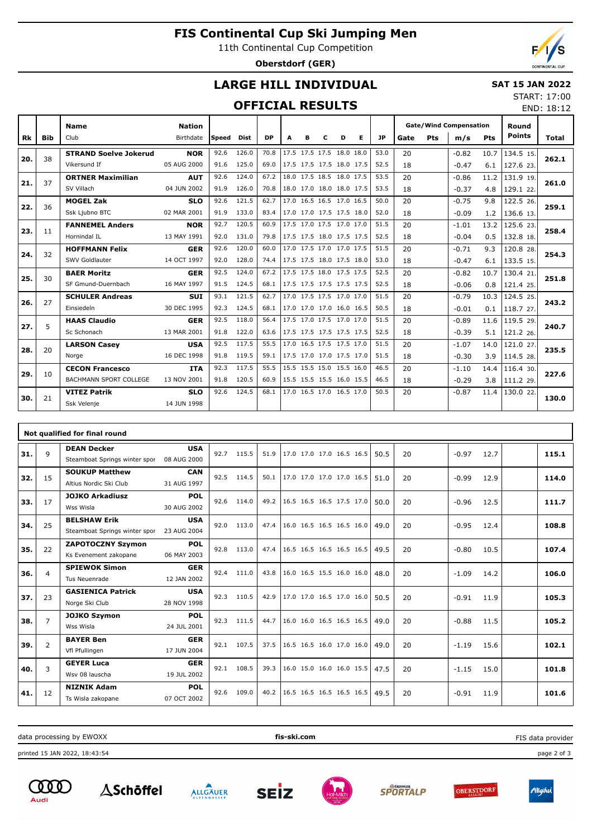## **FIS Continental Cup Ski Jumping Men**

11th Continental Cup Competition

**Oberstdorf (GER)**

END: 18:12

## **LARGE HILL INDIVIDUAL**

### **SAT 15 JAN 2022** START: 17:00

## **OFFICIAL RESULTS**

|     |     | <b>Name</b>                   | <b>Nation</b> |        |             |           |                          |   |                          |   |   |      |      |     | <b>Gate/Wind Compensation</b> |            | Round         |       |
|-----|-----|-------------------------------|---------------|--------|-------------|-----------|--------------------------|---|--------------------------|---|---|------|------|-----|-------------------------------|------------|---------------|-------|
| Rk  | Bib | Club                          | Birthdate     | lSpeed | <b>Dist</b> | <b>DP</b> | A                        | в | c                        | D | Е | JP   | Gate | Pts | m/s                           | <b>Pts</b> | <b>Points</b> | Total |
| 20. | 38  | <b>STRAND Soelve Jokerud</b>  | <b>NOR</b>    | 92.6   | 126.0       | 70.8      |                          |   | 17.5 17.5 17.5 18.0 18.0 |   |   | 53.0 | 20   |     | $-0.82$                       | 10.7       | 134.5 15.     | 262.1 |
|     |     | Vikersund If                  | 05 AUG 2000   | 91.6   | 125.0       | 69.0      |                          |   | 17.5 17.5 17.5 18.0 17.5 |   |   | 52.5 | 18   |     | $-0.47$                       | 6.1        | 127.6 23.     |       |
| 21. | 37  | <b>ORTNER Maximilian</b>      | <b>AUT</b>    | 92.6   | 124.0       | 67.2      |                          |   | 18.0 17.5 18.5 18.0 17.5 |   |   | 53.5 | 20   |     | $-0.86$                       | 11.2       | 131.9 19.     | 261.0 |
|     |     | SV Villach                    | 04 JUN 2002   | 91.9   | 126.0       | 70.8      |                          |   | 18.0 17.0 18.0 18.0 17.5 |   |   | 53.5 | 18   |     | $-0.37$                       | 4.8        | 129.1 22.     |       |
| 22. | 36  | <b>MOGEL Zak</b>              | <b>SLO</b>    | 92.6   | 121.5       | 62.7      |                          |   | 17.0 16.5 16.5 17.0 16.5 |   |   | 50.0 | 20   |     | $-0.75$                       | 9.8        | 122.5 26.     | 259.1 |
|     |     | Ssk Ljubno BTC                | 02 MAR 2001   | 91.9   | 133.0       | 83.4      |                          |   | 17.0 17.0 17.5 17.5 18.0 |   |   | 52.0 | 18   |     | $-0.09$                       | 1.2        | 136.6 13.     |       |
| 23. | 11  | <b>FANNEMEL Anders</b>        | <b>NOR</b>    | 92.7   | 120.5       | 60.9      |                          |   | 17.5 17.0 17.5 17.0 17.0 |   |   | 51.5 | 20   |     | $-1.01$                       | 13.2       | 125.6 23.     | 258.4 |
|     |     | Hornindal IL                  | 13 MAY 1991   | 92.0   | 131.0       | 79.8      |                          |   | 17.5 17.5 18.0 17.5 17.5 |   |   | 52.5 | 18   |     | $-0.04$                       | 0.5        | 132.8 18.     |       |
| 24. | 32  | <b>HOFFMANN Felix</b>         | <b>GER</b>    | 92.6   | 120.0       | 60.0      |                          |   | 17.0 17.5 17.0 17.0 17.5 |   |   | 51.5 | 20   |     | $-0.71$                       | 9.3        | 120.8 28.     | 254.3 |
|     |     | SWV Goldlauter                | 14 OCT 1997   | 92.0   | 128.0       | 74.4      | 17.5 17.5 18.0 17.5 18.0 |   |                          |   |   | 53.0 | 18   |     | $-0.47$                       | 6.1        | 133.5 15.     |       |
| 25. | 30  | <b>BAER Moritz</b>            | <b>GER</b>    | 92.5   | 124.0       | 67.2      |                          |   | 17.5 17.5 18.0 17.5 17.5 |   |   | 52.5 | 20   |     | $-0.82$                       | 10.7       | 130.4 21.     | 251.8 |
|     |     | SF Gmund-Duernbach            | 16 MAY 1997   | 91.5   | 124.5       | 68.1      | 17.5 17.5 17.5 17.5 17.5 |   |                          |   |   | 52.5 | 18   |     | $-0.06$                       | 0.8        | 121.4 25.     |       |
| 26. | 27  | <b>SCHULER Andreas</b>        | <b>SUI</b>    | 93.1   | 121.5       | 62.7      |                          |   | 17.0 17.5 17.5 17.0 17.0 |   |   | 51.5 | 20   |     | $-0.79$                       | 10.3       | 124.5 25.     | 243.2 |
|     |     | Einsiedeln                    | 30 DEC 1995   | 92.3   | 124.5       | 68.1      |                          |   | 17.0 17.0 17.0 16.0 16.5 |   |   | 50.5 | 18   |     | $-0.01$                       | 0.1        | 118.7 27.     |       |
| 27. | 5   | <b>HAAS Claudio</b>           | <b>GER</b>    | 92.5   | 118.0       | 56.4      |                          |   | 17.5 17.0 17.5 17.0 17.0 |   |   | 51.5 | 20   |     | $-0.89$                       | 11.6       | 119.5 29.     | 240.7 |
|     |     | Sc Schonach                   | 13 MAR 2001   | 91.8   | 122.0       | 63.6      |                          |   | 17.5 17.5 17.5 17.5 17.5 |   |   | 52.5 | 18   |     | $-0.39$                       | 5.1        | 121.2 26.     |       |
| 28. | 20  | <b>LARSON Casev</b>           | <b>USA</b>    | 92.5   | 117.5       | 55.5      |                          |   | 17.0 16.5 17.5 17.5 17.0 |   |   | 51.5 | 20   |     | $-1.07$                       | 14.0       | 121.0 27.     | 235.5 |
|     |     | Norge                         | 16 DEC 1998   | 91.8   | 119.5       | 59.1      | 17.5 17.0 17.0 17.5 17.0 |   |                          |   |   | 51.5 | 18   |     | $-0.30$                       | 3.9        | 114.5 28.     |       |
| 29. | 10  | <b>CECON Francesco</b>        | <b>ITA</b>    | 92.3   | 117.5       | 55.5      |                          |   | 15.5 15.5 15.0 15.5 16.0 |   |   | 46.5 | 20   |     | $-1.10$                       | 14.4       | 116.4 30.     | 227.6 |
|     |     | <b>BACHMANN SPORT COLLEGE</b> | 13 NOV 2001   | 91.8   | 120.5       | 60.9      |                          |   | 15.5 15.5 15.5 16.0 15.5 |   |   | 46.5 | 18   |     | $-0.29$                       | 3.8        | 111.2 29.     |       |
| 30. | 21  | <b>VITEZ Patrik</b>           | <b>SLO</b>    | 92.6   | 124.5       | 68.1      |                          |   | 17.0 16.5 17.0 16.5 17.0 |   |   | 50.5 | 20   |     | $-0.87$                       | 11.4       | 130.0 22      | 130.0 |
|     |     | Ssk Velenje                   | 14 JUN 1998   |        |             |           |                          |   |                          |   |   |      |      |     |                               |            |               |       |

|     |                | Not qualified for final round |             |      |       |      |                          |  |      |    |         |      |       |
|-----|----------------|-------------------------------|-------------|------|-------|------|--------------------------|--|------|----|---------|------|-------|
| 31. | 9              | <b>DEAN Decker</b>            | <b>USA</b>  | 92.7 | 115.5 | 51.9 | 17.0 17.0 17.0 16.5 16.5 |  | 50.5 | 20 | $-0.97$ | 12.7 | 115.1 |
|     |                | Steamboat Springs winter spor | 08 AUG 2000 |      |       |      |                          |  |      |    |         |      |       |
| 32. | 15             | <b>SOUKUP Matthew</b>         | <b>CAN</b>  | 92.5 | 114.5 | 50.1 | 17.0 17.0 17.0 17.0 16.5 |  | 51.0 | 20 | $-0.99$ | 12.9 | 114.0 |
|     |                | Altius Nordic Ski Club        | 31 AUG 1997 |      |       |      |                          |  |      |    |         |      |       |
| 33. | 17             | <b>JOJKO Arkadiusz</b>        | <b>POL</b>  | 92.6 | 114.0 | 49.2 | 16.5 16.5 16.5 17.5 17.0 |  | 50.0 | 20 | $-0.96$ | 12.5 | 111.7 |
|     |                | Wss Wisla                     | 30 AUG 2002 |      |       |      |                          |  |      |    |         |      |       |
| 34. | 25             | <b>BELSHAW Erik</b>           | <b>USA</b>  | 92.0 | 113.0 | 47.4 | 16.0 16.5 16.5 16.5 16.0 |  | 49.0 | 20 | $-0.95$ | 12.4 | 108.8 |
|     |                | Steamboat Springs winter spor | 23 AUG 2004 |      |       |      |                          |  |      |    |         |      |       |
| 35. | 22             | <b>ZAPOTOCZNY Szymon</b>      | <b>POL</b>  | 92.8 | 113.0 | 47.4 | 16.5 16.5 16.5 16.5 16.5 |  | 49.5 | 20 | $-0.80$ | 10.5 | 107.4 |
|     |                | Ks Evenement zakopane         | 06 MAY 2003 |      |       |      |                          |  |      |    |         |      |       |
| 36. | $\overline{4}$ | <b>SPIEWOK Simon</b>          | <b>GER</b>  | 92.4 | 111.0 | 43.8 | 16.0 16.5 15.5 16.0 16.0 |  | 48.0 | 20 | $-1.09$ | 14.2 | 106.0 |
|     |                | Tus Neuenrade                 | 12 JAN 2002 |      |       |      |                          |  |      |    |         |      |       |
| 37. | 23             | <b>GASIENICA Patrick</b>      | <b>USA</b>  | 92.3 | 110.5 | 42.9 | 17.0 17.0 16.5 17.0 16.0 |  | 50.5 | 20 | $-0.91$ | 11.9 | 105.3 |
|     |                | Norge Ski Club                | 28 NOV 1998 |      |       |      |                          |  |      |    |         |      |       |
| 38. | $\overline{7}$ | <b>JOJKO Szymon</b>           | <b>POL</b>  | 92.3 | 111.5 | 44.7 | 16.0 16.0 16.5 16.5 16.5 |  | 49.0 | 20 | $-0.88$ | 11.5 | 105.2 |
|     |                | Wss Wisla                     | 24 JUL 2001 |      |       |      |                          |  |      |    |         |      |       |
| 39. | $\overline{2}$ | <b>BAYER Ben</b>              | <b>GER</b>  | 92.1 | 107.5 | 37.5 | 16.5 16.5 16.0 17.0 16.0 |  | 49.0 | 20 |         | 15.6 | 102.1 |
|     |                | Vfl Pfullingen                | 17 JUN 2004 |      |       |      |                          |  |      |    | $-1.19$ |      |       |
|     | 3              | <b>GEYER Luca</b>             | <b>GER</b>  | 92.1 | 108.5 | 39.3 | 16.0 15.0 16.0 16.0 15.5 |  | 47.5 | 20 | $-1.15$ | 15.0 |       |
| 40. |                | Wsv 08 lauscha                | 19 JUL 2002 |      |       |      |                          |  |      |    |         |      | 101.8 |
| 41. | 12             | <b>NIZNIK Adam</b>            | <b>POL</b>  | 92.6 | 109.0 | 40.2 | 16.5 16.5 16.5 16.5 16.5 |  | 49.5 | 20 | $-0.91$ | 11.9 | 101.6 |
|     |                | Ts Wisla zakopane             | 07 OCT 2002 |      |       |      |                          |  |      |    |         |      |       |
|     |                |                               |             |      |       |      |                          |  |      |    |         |      |       |

data processing by EWOXX **fis-ski.com**

printed 15 JAN 2022, 18:43:54 page 2 of 3











FIS data provider